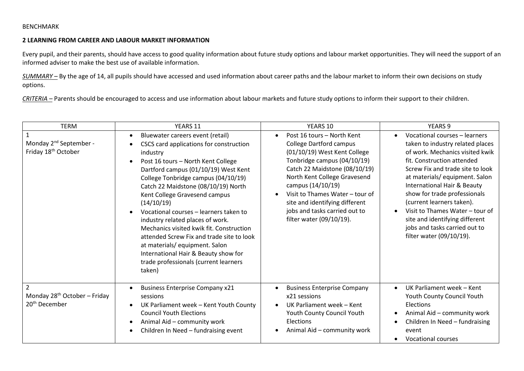### BENCHMARK

#### **2 LEARNING FROM CAREER AND LABOUR MARKET INFORMATION**

Every pupil, and their parents, should have access to good quality information about future study options and labour market opportunities. They will need the support of an informed adviser to make the best use of available information.

*SUMMARY –* By the age of 14, all pupils should have accessed and used information about career paths and the labour market to inform their own decisions on study options.

*CRITERIA –* Parents should be encouraged to access and use information about labour markets and future study options to inform their support to their children.

| <b>TERM</b>                                                                             | YEARS 11                                                                                                                                                                                                                                                                                                                                                                                                                                                                                                                                                                                                           | YEARS 10                                                                                                                                                                                                                                                                                                                                            | <b>YEARS 9</b>                                                                                                                                                                                                                                                                                                                                                                                                                                                  |
|-----------------------------------------------------------------------------------------|--------------------------------------------------------------------------------------------------------------------------------------------------------------------------------------------------------------------------------------------------------------------------------------------------------------------------------------------------------------------------------------------------------------------------------------------------------------------------------------------------------------------------------------------------------------------------------------------------------------------|-----------------------------------------------------------------------------------------------------------------------------------------------------------------------------------------------------------------------------------------------------------------------------------------------------------------------------------------------------|-----------------------------------------------------------------------------------------------------------------------------------------------------------------------------------------------------------------------------------------------------------------------------------------------------------------------------------------------------------------------------------------------------------------------------------------------------------------|
| Monday 2 <sup>nd</sup> September -<br>Friday 18 <sup>th</sup> October                   | Bluewater careers event (retail)<br>$\bullet$<br>CSCS card applications for construction<br>industry<br>Post 16 tours - North Kent College<br>Dartford campus (01/10/19) West Kent<br>College Tonbridge campus (04/10/19)<br>Catch 22 Maidstone (08/10/19) North<br>Kent College Gravesend campus<br>(14/10/19)<br>Vocational courses - learners taken to<br>industry related places of work.<br>Mechanics visited kwik fit. Construction<br>attended Screw Fix and trade site to look<br>at materials/equipment. Salon<br>International Hair & Beauty show for<br>trade professionals (current learners<br>taken) | Post 16 tours - North Kent<br><b>College Dartford campus</b><br>(01/10/19) West Kent College<br>Tonbridge campus (04/10/19)<br>Catch 22 Maidstone (08/10/19)<br>North Kent College Gravesend<br>campus (14/10/19)<br>Visit to Thames Water - tour of<br>site and identifying different<br>jobs and tasks carried out to<br>filter water (09/10/19). | Vocational courses - learners<br>$\bullet$<br>taken to industry related places<br>of work. Mechanics visited kwik<br>fit. Construction attended<br>Screw Fix and trade site to look<br>at materials/equipment. Salon<br>International Hair & Beauty<br>show for trade professionals<br>(current learners taken).<br>Visit to Thames Water - tour of<br>$\bullet$<br>site and identifying different<br>jobs and tasks carried out to<br>filter water (09/10/19). |
| $\overline{2}$<br>Monday 28 <sup>th</sup> October - Friday<br>20 <sup>th</sup> December | <b>Business Enterprise Company x21</b><br>sessions<br>UK Parliament week - Kent Youth County<br>$\bullet$<br><b>Council Youth Elections</b><br>Animal Aid - community work<br>Children In Need - fundraising event<br>$\bullet$                                                                                                                                                                                                                                                                                                                                                                                    | <b>Business Enterprise Company</b><br>x21 sessions<br>UK Parliament week - Kent<br>Youth County Council Youth<br>Elections<br>Animal Aid - community work                                                                                                                                                                                           | UK Parliament week - Kent<br>$\bullet$<br>Youth County Council Youth<br><b>Elections</b><br>Animal Aid - community work<br>$\bullet$<br>Children In Need - fundraising<br>$\bullet$<br>event<br>Vocational courses<br>$\bullet$                                                                                                                                                                                                                                 |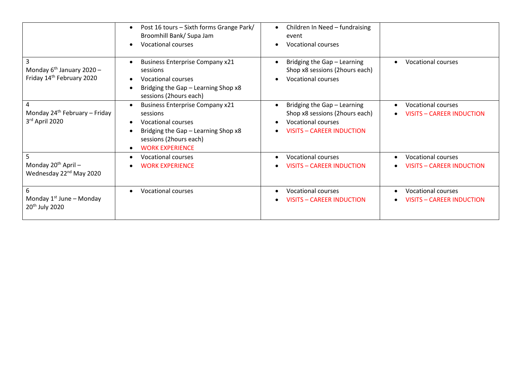|                                                                      | Post 16 tours - Sixth forms Grange Park/<br>Broomhill Bank/ Supa Jam<br><b>Vocational courses</b><br>$\bullet$                                                                          | Children In Need - fundraising<br>event<br><b>Vocational courses</b>                                                           |                                                                                         |
|----------------------------------------------------------------------|-----------------------------------------------------------------------------------------------------------------------------------------------------------------------------------------|--------------------------------------------------------------------------------------------------------------------------------|-----------------------------------------------------------------------------------------|
| Monday $6^{th}$ January 2020 -<br>Friday 14th February 2020          | <b>Business Enterprise Company x21</b><br>sessions<br><b>Vocational courses</b><br>Bridging the Gap - Learning Shop x8<br>$\bullet$<br>sessions (2hours each)                           | Bridging the Gap - Learning<br>Shop x8 sessions (2hours each)<br><b>Vocational courses</b>                                     | <b>Vocational courses</b><br>$\bullet$                                                  |
| Monday $24^{th}$ February – Friday<br>3rd April 2020                 | <b>Business Enterprise Company x21</b><br>sessions<br><b>Vocational courses</b><br>$\bullet$<br>Bridging the Gap - Learning Shop x8<br>sessions (2hours each)<br><b>WORK EXPERIENCE</b> | Bridging the Gap - Learning<br>Shop x8 sessions (2hours each)<br><b>Vocational courses</b><br><b>VISITS - CAREER INDUCTION</b> | <b>Vocational courses</b><br>$\bullet$<br><b>VISITS - CAREER INDUCTION</b><br>$\bullet$ |
| 5<br>Monday $20^{th}$ April -<br>Wednesday 22 <sup>nd</sup> May 2020 | <b>Vocational courses</b><br><b>WORK EXPERIENCE</b><br>$\bullet$                                                                                                                        | <b>Vocational courses</b><br><b>VISITS - CAREER INDUCTION</b>                                                                  | <b>Vocational courses</b><br><b>VISITS - CAREER INDUCTION</b>                           |
| 6<br>Monday $1^{st}$ June – Monday<br>20 <sup>th</sup> July 2020     | <b>Vocational courses</b><br>$\bullet$                                                                                                                                                  | <b>Vocational courses</b><br><b>VISITS - CAREER INDUCTION</b>                                                                  | <b>Vocational courses</b><br>$\bullet$<br>VISITS - CAREER INDUCTION                     |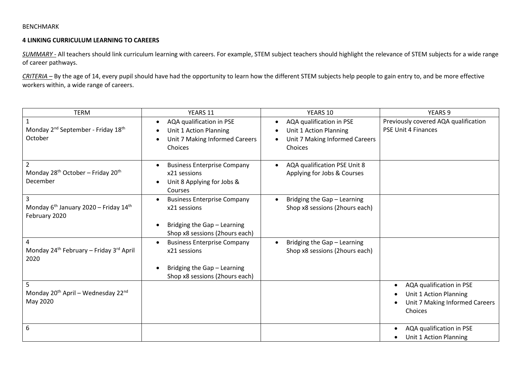### BENCHMARK

# **4 LINKING CURRICULUM LEARNING TO CAREERS**

*SUMMARY -* All teachers should link curriculum learning with careers. For example, STEM subject teachers should highlight the relevance of STEM subjects for a wide range of career pathways.

*CRITERIA –* By the age of 14, every pupil should have had the opportunity to learn how the different STEM subjects help people to gain entry to, and be more effective workers within, a wide range of careers.

| <b>TERM</b>                                                                               | YEARS 11                                                                                                            | YEARS 10                                                                                        | <b>YEARS 9</b>                                                                                               |
|-------------------------------------------------------------------------------------------|---------------------------------------------------------------------------------------------------------------------|-------------------------------------------------------------------------------------------------|--------------------------------------------------------------------------------------------------------------|
| $\mathbf{1}$<br>Monday 2 <sup>nd</sup> September - Friday 18 <sup>th</sup><br>October     | AQA qualification in PSE<br>$\bullet$<br>Unit 1 Action Planning<br>Unit 7 Making Informed Careers<br>Choices        | AQA qualification in PSE<br>Unit 1 Action Planning<br>Unit 7 Making Informed Careers<br>Choices | Previously covered AQA qualification<br><b>PSE Unit 4 Finances</b>                                           |
| $\overline{2}$<br>Monday 28 <sup>th</sup> October - Friday 20 <sup>th</sup><br>December   | <b>Business Enterprise Company</b><br>x21 sessions<br>Unit 8 Applying for Jobs &<br>Courses                         | AQA qualification PSE Unit 8<br>Applying for Jobs & Courses                                     |                                                                                                              |
| 3<br>Monday 6 <sup>th</sup> January 2020 - Friday 14 <sup>th</sup><br>February 2020       | <b>Business Enterprise Company</b><br>x21 sessions<br>Bridging the Gap - Learning<br>Shop x8 sessions (2hours each) | Bridging the Gap - Learning<br>Shop x8 sessions (2hours each)                                   |                                                                                                              |
| $\overline{4}$<br>Monday 24 <sup>th</sup> February - Friday 3 <sup>rd</sup> April<br>2020 | <b>Business Enterprise Company</b><br>x21 sessions<br>Bridging the Gap - Learning<br>Shop x8 sessions (2hours each) | Bridging the Gap - Learning<br>Shop x8 sessions (2hours each)                                   |                                                                                                              |
| 5<br>Monday 20 <sup>th</sup> April - Wednesday 22 <sup>nd</sup><br>May 2020               |                                                                                                                     |                                                                                                 | AQA qualification in PSE<br>$\bullet$<br>Unit 1 Action Planning<br>Unit 7 Making Informed Careers<br>Choices |
| 6                                                                                         |                                                                                                                     |                                                                                                 | AQA qualification in PSE<br>$\bullet$<br>Unit 1 Action Planning                                              |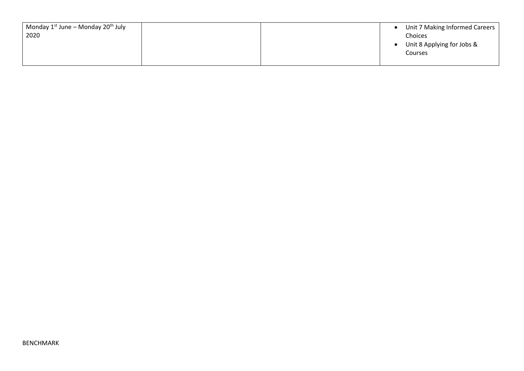| Monday $1^{st}$ June – Monday 20 <sup>th</sup> July |  | Unit 7 Making Informed Careers |
|-----------------------------------------------------|--|--------------------------------|
| 2020                                                |  | Choices                        |
|                                                     |  | Unit 8 Applying for Jobs &     |
|                                                     |  | Courses                        |
|                                                     |  |                                |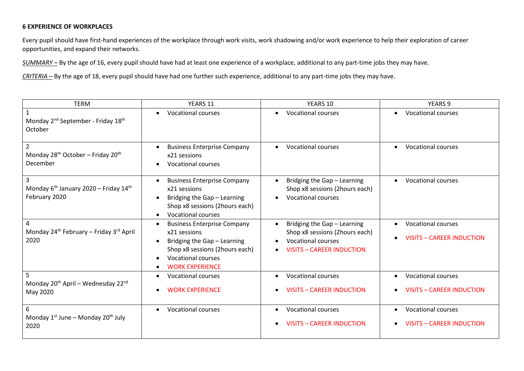# **6 EXPERIENCE OF WORKPLACES**

Every pupil should have first-hand experiences of the workplace through work visits, work shadowing and/or work experience to help their exploration of career opportunities, and expand their networks.

*SUMMARY –* By the age of 16, every pupil should have had at least one experience of a workplace, additional to any part-time jobs they may have.

*CRITERIA –* By the age of 18, every pupil should have had one further such experience, additional to any part-time jobs they may have.

| <b>TERM</b>                                                                             | YEARS 11                                                                                                                                                                                | YEARS 10                                                                                                                       | <b>YEARS 9</b>                                                                          |
|-----------------------------------------------------------------------------------------|-----------------------------------------------------------------------------------------------------------------------------------------------------------------------------------------|--------------------------------------------------------------------------------------------------------------------------------|-----------------------------------------------------------------------------------------|
| $\mathbf{1}$<br>Monday 2 <sup>nd</sup> September - Friday 18 <sup>th</sup><br>October   | <b>Vocational courses</b><br>$\bullet$                                                                                                                                                  | <b>Vocational courses</b>                                                                                                      | <b>Vocational courses</b><br>$\bullet$                                                  |
| $\overline{2}$<br>Monday 28 <sup>th</sup> October - Friday 20 <sup>th</sup><br>December | <b>Business Enterprise Company</b><br>x21 sessions<br><b>Vocational courses</b>                                                                                                         | <b>Vocational courses</b>                                                                                                      | <b>Vocational courses</b><br>$\bullet$                                                  |
| Monday 6 <sup>th</sup> January 2020 - Friday 14 <sup>th</sup><br>February 2020          | <b>Business Enterprise Company</b><br>x21 sessions<br>Bridging the Gap - Learning<br>Shop x8 sessions (2hours each)<br><b>Vocational courses</b>                                        | Bridging the Gap - Learning<br>Shop x8 sessions (2hours each)<br><b>Vocational courses</b>                                     | <b>Vocational courses</b><br>$\bullet$                                                  |
| 4<br>Monday 24 <sup>th</sup> February - Friday 3 <sup>rd</sup> April<br>2020            | <b>Business Enterprise Company</b><br>$\bullet$<br>x21 sessions<br>Bridging the Gap - Learning<br>Shop x8 sessions (2hours each)<br><b>Vocational courses</b><br><b>WORK EXPERIENCE</b> | Bridging the Gap - Learning<br>Shop x8 sessions (2hours each)<br><b>Vocational courses</b><br><b>VISITS - CAREER INDUCTION</b> | <b>Vocational courses</b><br>$\bullet$<br><b>VISITS - CAREER INDUCTION</b><br>$\bullet$ |
| 5<br>Monday 20 <sup>th</sup> April - Wednesday 22 <sup>nd</sup><br>May 2020             | Vocational courses<br><b>WORK EXPERIENCE</b><br>$\bullet$                                                                                                                               | <b>Vocational courses</b><br><b>VISITS - CAREER INDUCTION</b>                                                                  | <b>Vocational courses</b><br>$\bullet$<br><b>VISITS - CAREER INDUCTION</b>              |
| 6<br>Monday $1^{st}$ June – Monday $20^{th}$ July<br>2020                               | <b>Vocational courses</b><br>$\bullet$                                                                                                                                                  | <b>Vocational courses</b><br><b>VISITS - CAREER INDUCTION</b>                                                                  | <b>Vocational courses</b><br>$\bullet$<br><b>VISITS - CAREER INDUCTION</b>              |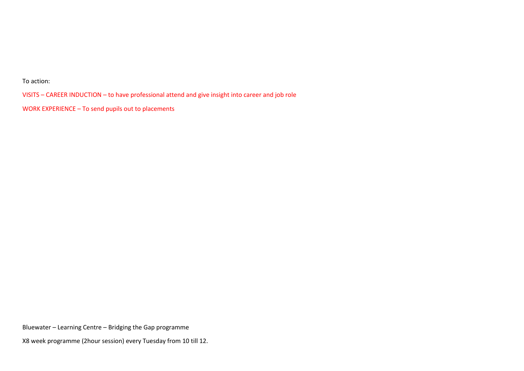To action:

VISITS – CAREER INDUCTION – to have professional attend and give insight into career and job role

WORK EXPERIENCE – To send pupils out to placements

Bluewater – Learning Centre – Bridging the Gap programme

X8 week programme (2hour session) every Tuesday from 10 till 12.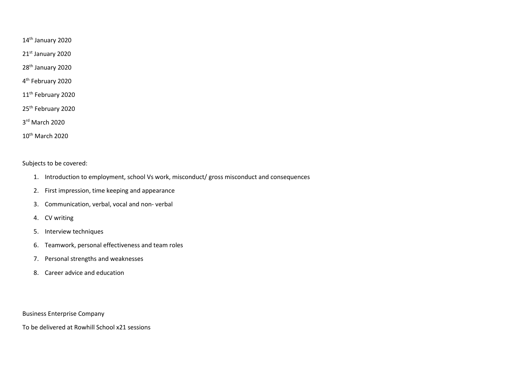14th January 2020

21st January 2020

28<sup>th</sup> January 2020

4<sup>th</sup> February 2020

11<sup>th</sup> February 2020

25<sup>th</sup> February 2020

3 rd March 2020

10<sup>th</sup> March 2020

Subjects to be covered:

- 1. Introduction to employment, school Vs work, misconduct/ gross misconduct and consequences
- 2. First impression, time keeping and appearance
- 3. Communication, verbal, vocal and non- verbal
- 4. CV writing
- 5. Interview techniques
- 6. Teamwork, personal effectiveness and team roles
- 7. Personal strengths and weaknesses
- 8. Career advice and education

Business Enterprise Company

To be delivered at Rowhill School x21 sessions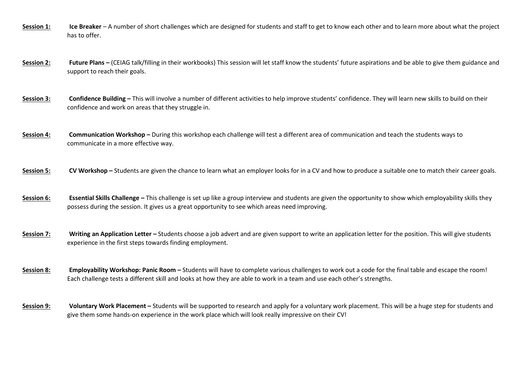- **Session 1: Ice Breaker** A number of short challenges which are designed for students and staff to get to know each other and to learn more about what the project has to offer.
- **Session 2:** Future Plans (CEIAG talk/filling in their workbooks) This session will let staff know the students' future aspirations and be able to give them guidance and support to reach their goals.
- **Session 3:** Confidence Building This will involve a number of different activities to help improve students' confidence. They will learn new skills to build on their confidence and work on areas that they struggle in.
- **Session 4:** Communication Workshop During this workshop each challenge will test a different area of communication and teach the students ways to communicate in a more effective way.
- **Session 5:** CV Workshop Students are given the chance to learn what an employer looks for in a CV and how to produce a suitable one to match their career goals.
- **Session 6: Essential Skills Challenge** This challenge is set up like a group interview and students are given the opportunity to show which employability skills they possess during the session. It gives us a great opportunity to see which areas need improving.
- **Session 7:** Writing an Application Letter Students choose a job advert and are given support to write an application letter for the position. This will give students experience in the first steps towards finding employment.
- **Session 8: Employability Workshop: Panic Room** Students will have to complete various challenges to work out a code for the final table and escape the room! Each challenge tests a different skill and looks at how they are able to work in a team and use each other's strengths.
- **Session 9: Voluntary Work Placement –** Students will be supported to research and apply for a voluntary work placement. This will be a huge step for students and give them some hands-on experience in the work place which will look really impressive on their CV!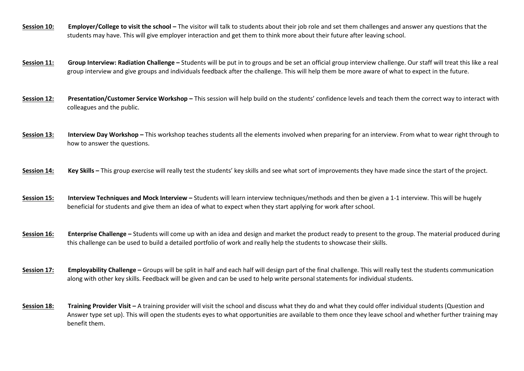- **Session 10:** Employer/College to visit the school The visitor will talk to students about their job role and set them challenges and answer any questions that the students may have. This will give employer interaction and get them to think more about their future after leaving school.
- **Session 11:** Group Interview: Radiation Challenge Students will be put in to groups and be set an official group interview challenge. Our staff will treat this like a real group interview and give groups and individuals feedback after the challenge. This will help them be more aware of what to expect in the future.
- **Session 12:** Presentation/Customer Service Workshop This session will help build on the students' confidence levels and teach them the correct way to interact with colleagues and the public.
- **Session 13: Interview Day Workshop –** This workshop teaches students all the elements involved when preparing for an interview. From what to wear right through to how to answer the questions.
- **Session 14:** Key Skills This group exercise will really test the students' key skills and see what sort of improvements they have made since the start of the project.
- **Session 15: Interview Techniques and Mock Interview –** Students will learn interview techniques/methods and then be given a 1-1 interview. This will be hugely beneficial for students and give them an idea of what to expect when they start applying for work after school.
- **Session 16:** Enterprise Challenge Students will come up with an idea and design and market the product ready to present to the group. The material produced during this challenge can be used to build a detailed portfolio of work and really help the students to showcase their skills.
- **Session 17:** Employability Challenge Groups will be split in half and each half will design part of the final challenge. This will really test the students communication along with other key skills. Feedback will be given and can be used to help write personal statements for individual students.
- **Session 18:** Training Provider Visit A training provider will visit the school and discuss what they do and what they could offer individual students (Question and Answer type set up). This will open the students eyes to what opportunities are available to them once they leave school and whether further training may benefit them.